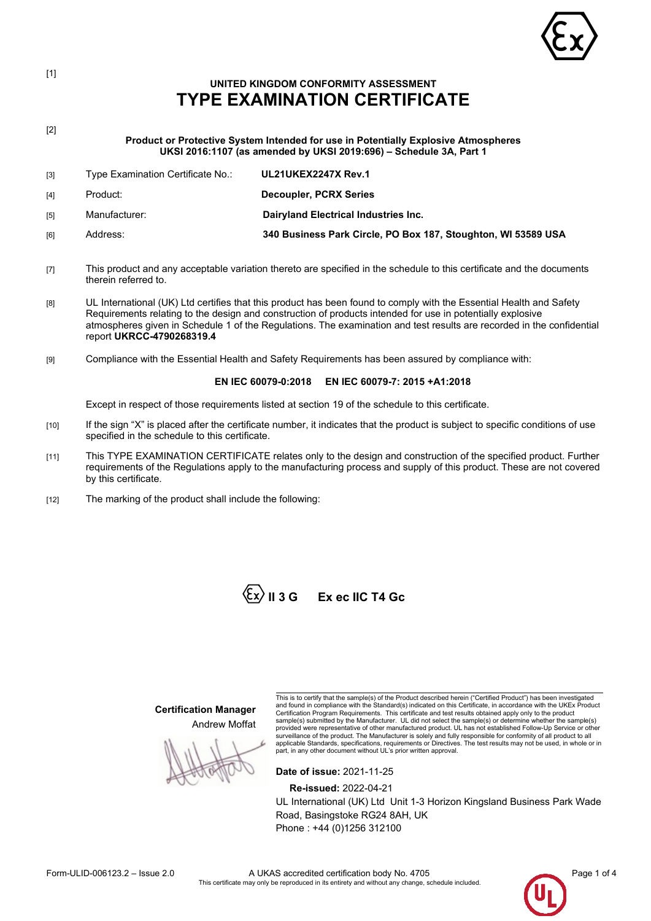

### **UNITED KINGDOM CONFORMITY ASSESSMENT TYPE EXAMINATION CERTIFICATE**

[2]

[1]

**Product or Protective System Intended for use in Potentially Explosive Atmospheres UKSI 2016:1107 (as amended by UKSI 2019:696) – Schedule 3A, Part 1**

| [3] | Type Examination Certificate No.: | <b>UL21UKEX2247X Rev.1</b>                                    |
|-----|-----------------------------------|---------------------------------------------------------------|
| [4] | Product:                          | Decoupler, PCRX Series                                        |
| [5] | Manufacturer:                     | Dairyland Electrical Industries Inc.                          |
| [6] | Address:                          | 340 Business Park Circle, PO Box 187, Stoughton, WI 53589 USA |
|     |                                   |                                                               |

- [7] This product and any acceptable variation thereto are specified in the schedule to this certificate and the documents therein referred to.
- [8] UL International (UK) Ltd certifies that this product has been found to comply with the Essential Health and Safety Requirements relating to the design and construction of products intended for use in potentially explosive atmospheres given in Schedule 1 of the Regulations. The examination and test results are recorded in the confidential report **UKRCC-4790268319.4**
- [9] Compliance with the Essential Health and Safety Requirements has been assured by compliance with:

### **EN IEC 60079-0:2018 EN IEC 60079-7: 2015 +A1:2018**

Except in respect of those requirements listed at section 19 of the schedule to this certificate.

- [10] If the sign "X" is placed after the certificate number, it indicates that the product is subject to specific conditions of use specified in the schedule to this certificate.
- [11] This TYPE EXAMINATION CERTIFICATE relates only to the design and construction of the specified product. Further requirements of the Regulations apply to the manufacturing process and supply of this product. These are not covered by this certificate.
- [12] The marking of the product shall include the following:



**Certification Manager** Andrew Moffat

This is to certify that the sample(s) of the Product described herein ("Certified Product") has been investigated and found in compliance with the Standard(s) indicated on this Certificate, in accordance with the UKEx Product Certification Program Requirements. This certificate and test results obtained apply only to the product sample(s) submitted by the Manufacturer. UL did not select the sample(s) or determine whether the sample(s) provided were representative of other manufactured product. UL has not established Follow-Up Service or other surveillance of the product. The Manufacturer is solely and fully responsible for conformity of all product to all<br>applicable Standards, specifications, requirements or Directives. The test results may not be used, in whol

**Date of issue:** 2021-11-25

**Re-issued:** 2022-04-21

UL International (UK) Ltd Unit 1-3 Horizon Kingsland Business Park Wade Road, Basingstoke RG24 8AH, UK Phone : +44 (0)1256 312100

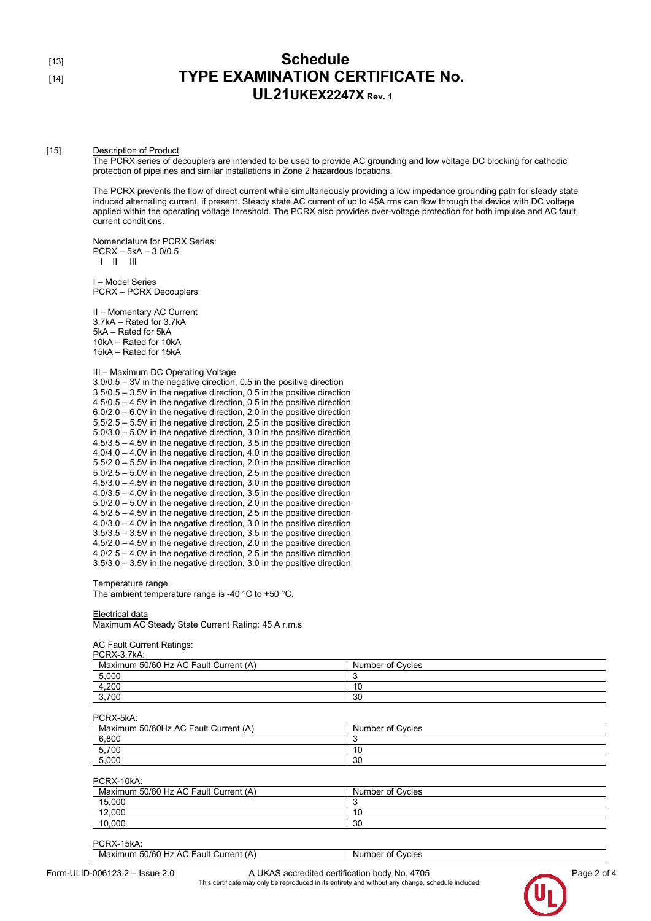## [13] **Schedule** [14] **TYPE EXAMINATION CERTIFICATE No. UL21UKEX2247X Rev. 1**

#### [15] Description of Product

The PCRX series of decouplers are intended to be used to provide AC grounding and low voltage DC blocking for cathodic protection of pipelines and similar installations in Zone 2 hazardous locations.

The PCRX prevents the flow of direct current while simultaneously providing a low impedance grounding path for steady state induced alternating current, if present. Steady state AC current of up to 45A rms can flow through the device with DC voltage applied within the operating voltage threshold. The PCRX also provides over-voltage protection for both impulse and AC fault current conditions.

Nomenclature for PCRX Series: PCRX – 5kA – 3.0/0.5 I II III

I – Model Series PCRX – PCRX Decouplers

II – Momentary AC Current 3.7kA – Rated for 3.7kA 5kA – Rated for 5kA 10kA – Rated for 10kA 15kA – Rated for 15kA

III – Maximum DC Operating Voltage

| $3.0/0.5 - 3V$ in the negative direction, 0.5 in the positive direction   |
|---------------------------------------------------------------------------|
| $3.5/0.5 - 3.5V$ in the negative direction, 0.5 in the positive direction |
| $4.5/0.5 - 4.5V$ in the negative direction, 0.5 in the positive direction |
| $6.0/2.0 - 6.0V$ in the negative direction, 2.0 in the positive direction |
| $5.5/2.5 - 5.5V$ in the negative direction, 2.5 in the positive direction |
| $5.0/3.0 - 5.0V$ in the negative direction, 3.0 in the positive direction |
| 4.5/3.5 - 4.5V in the negative direction, 3.5 in the positive direction   |
| $4.0/4.0 - 4.0V$ in the negative direction, 4.0 in the positive direction |
| $5.5/2.0 - 5.5V$ in the negative direction, 2.0 in the positive direction |
| $5.0/2.5 - 5.0V$ in the negative direction, 2.5 in the positive direction |
| $4.5/3.0 - 4.5V$ in the negative direction, 3.0 in the positive direction |
| $4.0/3.5 - 4.0V$ in the negative direction, 3.5 in the positive direction |
| $5.0/2.0 - 5.0V$ in the negative direction, 2.0 in the positive direction |
| $4.5/2.5 - 4.5V$ in the negative direction, 2.5 in the positive direction |
| $4.0/3.0 - 4.0V$ in the negative direction, 3.0 in the positive direction |
| $3.5/3.5 - 3.5V$ in the negative direction, 3.5 in the positive direction |
| $4.5/2.0 - 4.5V$ in the negative direction, 2.0 in the positive direction |
| $4.0/2.5 - 4.0V$ in the negative direction, 2.5 in the positive direction |
| $3.5/3.0 - 3.5V$ in the negative direction, 3.0 in the positive direction |

#### Temperature range

The ambient temperature range is -40 °C to +50 °C.

#### Electrical data

Maximum AC Steady State Current Rating: 45 A r.m.s

AC Fault Current Ratings: PCRX-3.7kA:

| PURA-3.7KA.                           |                  |  |  |  |
|---------------------------------------|------------------|--|--|--|
| Maximum 50/60 Hz AC Fault Current (A) | Number of Cycles |  |  |  |
| 5,000                                 |                  |  |  |  |
| 4,200                                 | 10               |  |  |  |
| 3,700                                 | 30               |  |  |  |

#### PCRX-5kA:

| Maximum 50/60Hz AC Fault Current (A) | Number of Cycles |
|--------------------------------------|------------------|
| 6,800                                |                  |
| 5,700                                | 10               |
| 5.000                                | 30               |

PCRX-10kA:

| <b>UIVY-IUM.</b>                      |                  |  |
|---------------------------------------|------------------|--|
| Maximum 50/60 Hz AC Fault Current (A) | Number of Cycles |  |
| 15,000                                |                  |  |
| 12,000                                | 10               |  |
| 10,000                                | 30               |  |

PCRX-15kA: Maximum 50/60 Hz AC Fault Current (A) Number of Cycles

Form-ULID-006123.2 – Issue 2.0 **A UKAS accredited certification body No. 4705** Page 2 of 4 This certificate may only be reproduced in its entirety and without any change, schedule included.

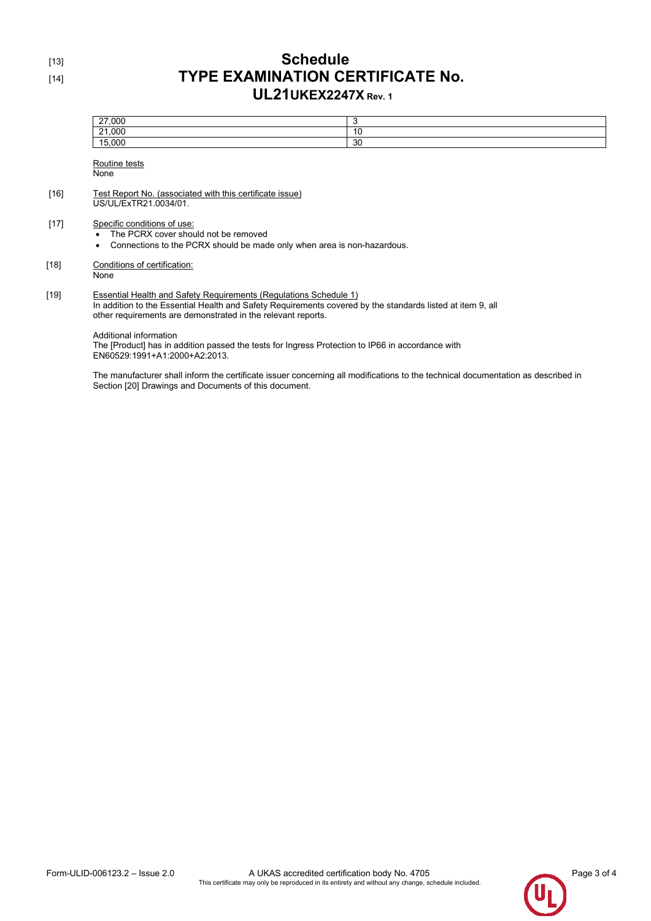### [13] **Schedule** [14] **TYPE EXAMINATION CERTIFICATE No. UL21UKEX2247X Rev. 1**

|        | 27,000                                                                                                                                                                                                                                          | 3  |
|--------|-------------------------------------------------------------------------------------------------------------------------------------------------------------------------------------------------------------------------------------------------|----|
|        | 21,000                                                                                                                                                                                                                                          | 10 |
|        | 15,000                                                                                                                                                                                                                                          | 30 |
|        | Routine tests                                                                                                                                                                                                                                   |    |
|        | None                                                                                                                                                                                                                                            |    |
| $[16]$ | Test Report No. (associated with this certificate issue)<br>US/UL/ExTR21.0034/01.                                                                                                                                                               |    |
| $[17]$ | Specific conditions of use:<br>The PCRX cover should not be removed<br>Connections to the PCRX should be made only when area is non-hazardous.<br>٠                                                                                             |    |
| [18]   | Conditions of certification:<br>None                                                                                                                                                                                                            |    |
| [19]   | Essential Health and Safety Requirements (Requlations Schedule 1)<br>In addition to the Essential Health and Safety Requirements covered by the standards listed at item 9, all<br>other requirements are demonstrated in the relevant reports. |    |
|        | Additional information<br>The [Product] has in addition passed the tests for Ingress Protection to IP66 in accordance with                                                                                                                      |    |

EN60529:1991+A1:2000+A2:2013.

The manufacturer shall inform the certificate issuer concerning all modifications to the technical documentation as described in Section [20] Drawings and Documents of this document.



 $[18]$